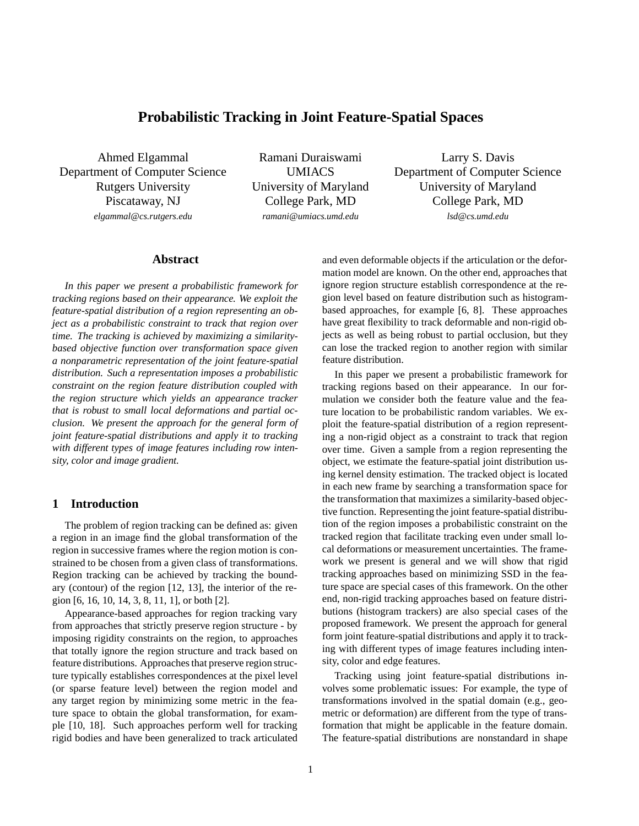# **Probabilistic Tracking in Joint Feature-Spatial Spaces**

Ahmed Elgammal Department of Computer Science Rutgers University Piscataway, NJ *elgammal@cs.rutgers.edu*

Ramani Duraiswami UMIACS University of Maryland College Park, MD *ramani@umiacs.umd.edu*

Larry S. Davis Department of Computer Science University of Maryland College Park, MD *lsd@cs.umd.edu*

# **Abstract**

*In this paper we present a probabilistic framework for tracking regions based on their appearance. We exploit the feature-spatial distribution of a region representing an object as a probabilistic constraint to track that region over time. The tracking is achieved by maximizing a similaritybased objective function over transformation space given a nonparametric representation of the joint feature-spatial distribution. Such a representation imposes a probabilistic constraint on the region feature distribution coupled with the region structure which yields an appearance tracker that is robust to small local deformations and partial occlusion. We present the approach for the general form of joint feature-spatial distributions and apply it to tracking with different types of image features including row intensity, color and image gradient.*

# **1 Introduction**

The problem of region tracking can be defined as: given a region in an image find the global transformation of the region in successive frames where the region motion is constrained to be chosen from a given class of transformations. Region tracking can be achieved by tracking the boundary (contour) of the region [12, 13], the interior of the region [6, 16, 10, 14, 3, 8, 11, 1], or both [2].

Appearance-based approaches for region tracking vary from approaches that strictly preserve region structure - by imposing rigidity constraints on the region, to approaches that totally ignore the region structure and track based on feature distributions. Approaches that preserve region structure typically establishes correspondences at the pixel level (or sparse feature level) between the region model and any target region by minimizing some metric in the feature space to obtain the global transformation, for example [10, 18]. Such approaches perform well for tracking rigid bodies and have been generalized to track articulated and even deformable objects if the articulation or the deformation model are known. On the other end, approaches that ignore region structure establish correspondence at the region level based on feature distribution such as histogrambased approaches, for example [6, 8]. These approaches have great flexibility to track deformable and non-rigid objects as well as being robust to partial occlusion, but they can lose the tracked region to another region with similar feature distribution.

In this paper we present a probabilistic framework for tracking regions based on their appearance. In our formulation we consider both the feature value and the feature location to be probabilistic random variables. We exploit the feature-spatial distribution of a region representing a non-rigid object as a constraint to track that region over time. Given a sample from a region representing the object, we estimate the feature-spatial joint distribution using kernel density estimation. The tracked object is located in each new frame by searching a transformation space for the transformation that maximizes a similarity-based objective function. Representing the joint feature-spatial distribution of the region imposes a probabilistic constraint on the tracked region that facilitate tracking even under small local deformations or measurement uncertainties. The framework we present is general and we will show that rigid tracking approaches based on minimizing SSD in the feature space are special cases of this framework. On the other end, non-rigid tracking approaches based on feature distributions (histogram trackers) are also special cases of the proposed framework. We present the approach for general form joint feature-spatial distributions and apply it to tracking with different types of image features including intensity, color and edge features.

Tracking using joint feature-spatial distributions involves some problematic issues: For example, the type of transformations involved in the spatial domain (e.g., geometric or deformation) are different from the type of transformation that might be applicable in the feature domain. The feature-spatial distributions are nonstandard in shape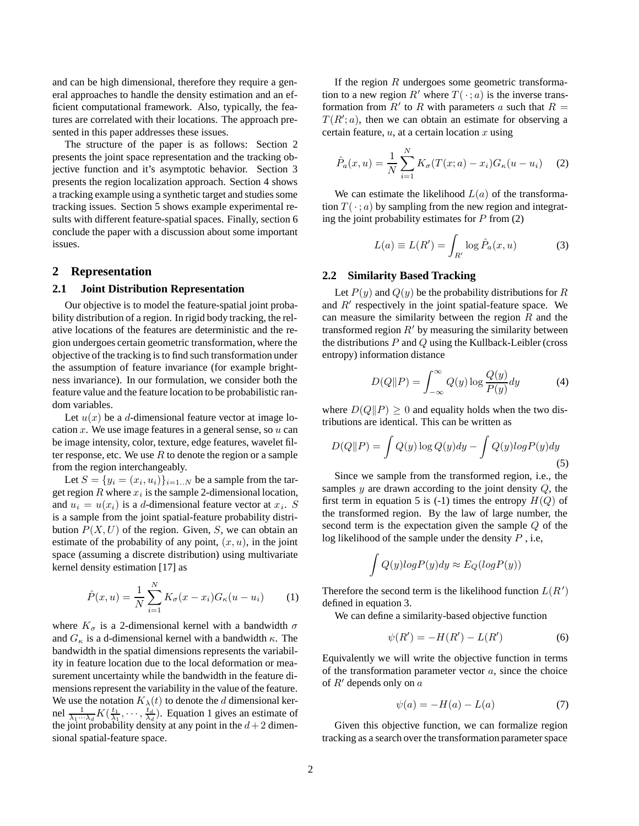and can be high dimensional, therefore they require a general approaches to handle the density estimation and an efficient computational framework. Also, typically, the features are correlated with their locations. The approach presented in this paper addresses these issues.

The structure of the paper is as follows: Section 2 presents the joint space representation and the tracking objective function and it's asymptotic behavior. Section 3 presents the region localization approach. Section 4 shows a tracking example using a synthetic target and studies some tracking issues. Section 5 shows example experimental results with different feature-spatial spaces. Finally, section 6 conclude the paper with a discussion about some important issues.

# **2 Representation**

### **2.1 Joint Distribution Representation**

Our objective is to model the feature-spatial joint probability distribution of a region. In rigid body tracking, the relative locations of the features are deterministic and the region undergoes certain geometric transformation, where the objective of the tracking is to find such transformation under the assumption of feature invariance (for example brightness invariance). In our formulation, we consider both the feature value and the feature location to be probabilistic random variables.

Let  $u(x)$  be a *d*-dimensional feature vector at image location  $x$ . We use image features in a general sense, so  $u$  can be image intensity, color, texture, edge features, wavelet filter response, etc. We use  $R$  to denote the region or a sample from the region interchangeably.

Let  $S = \{y_i = (x_i, u_i)\}_{i=1..N}$  be a sample from the target region R where  $x_i$  is the sample 2-dimensional location, and  $u_i = u(x_i)$  is a d-dimensional feature vector at  $x_i$ . S is a sample from the joint spatial-feature probability distribution  $P(X, U)$  of the region. Given, S, we can obtain an estimate of the probability of any point,  $(x, u)$ , in the joint space (assuming a discrete distribution) using multivariate kernel density estimation [17] as

$$
\hat{P}(x, u) = \frac{1}{N} \sum_{i=1}^{N} K_{\sigma}(x - x_i) G_{\kappa}(u - u_i)
$$
 (1)

where  $K_{\sigma}$  is a 2-dimensional kernel with a bandwidth  $\sigma$ and  $G_{\kappa}$  is a d-dimensional kernel with a bandwidth  $\kappa$ . The bandwidth in the spatial dimensions represents the variability in feature location due to the local deformation or measurement uncertainty while the bandwidth in the feature dimensions represent the variability in the value of the feature. We use the notation  $K_{\lambda}(t)$  to denote the d dimensional kernel  $\frac{1}{\lambda_1 \cdots \lambda_d} K(\frac{t_1}{\lambda_1}, \cdots, \frac{t_d}{\lambda_d})$ . Equation 1 gives an estimate of the joint probability density at any point in the  $d+2$  dimenthe joint probability density at any point in the  $d+2$  dimensional spatial-feature space sional spatial-feature space.

If the region  $R$  undergoes some geometric transformation to a new region R' where  $T(\cdot; a)$  is the inverse transformation from R' to R with parameters a such that  $R =$  $T(R'; a)$ , then we can obtain an estimate for observing a<br>certain feature  $u$ , at a certain location x using certain feature,  $u$ , at a certain location  $x$  using

$$
\hat{P}_a(x, u) = \frac{1}{N} \sum_{i=1}^{N} K_{\sigma}(T(x; a) - x_i) G_{\kappa}(u - u_i)
$$
 (2)

We can estimate the likelihood  $L(a)$  of the transformation  $T(\cdot; a)$  by sampling from the new region and integrating the joint probability estimates for  $P$  from  $(2)$ 

$$
L(a) \equiv L(R') = \int_{R'} \log \hat{P}_a(x, u)
$$
 (3)

## **2.2 Similarity Based Tracking**

Let  $P(y)$  and  $Q(y)$  be the probability distributions for R and  $R'$  respectively in the joint spatial-feature space. We can measure the similarity between the region  $R$  and the transformed region  $R'$  by measuring the similarity between the distributions  $P$  and  $Q$  using the Kullback-Leibler (cross entropy) information distance

$$
D(Q||P) = \int_{-\infty}^{\infty} Q(y) \log \frac{Q(y)}{P(y)} dy
$$
 (4)

where  $D(Q||P) \ge 0$  and equality holds when the two distributions are identical. This can be written as tributions are identical. This can be written as

$$
D(Q||P) = \int Q(y) \log Q(y) dy - \int Q(y) \log P(y) dy
$$
\n(5)

Since we sample from the transformed region, i.e., the samples  $y$  are drawn according to the joint density  $Q$ , the first term in equation 5 is (-1) times the entropy  $H(Q)$  of the transformed region. By the law of large number, the second term is the expectation given the sample Q of the log likelihood of the sample under the density  $P$ , i.e,

$$
\int Q(y)logP(y)dy \approx E_Q(logP(y))
$$

 $\cdot$ 

Therefore the second term is the likelihood function  $L(R')$ <br>defined in equation 3 defined in equation 3.

We can define a similarity-based objective function

$$
\psi(R') = -H(R') - L(R')
$$
 (6)

Equivalently we will write the objective function in terms of the transformation parameter vector  $a$ , since the choice of  $R'$  depends only on  $a$ 

$$
\psi(a) = -H(a) - L(a) \tag{7}
$$

Given this objective function, we can formalize region tracking as a search over the transformation parameter space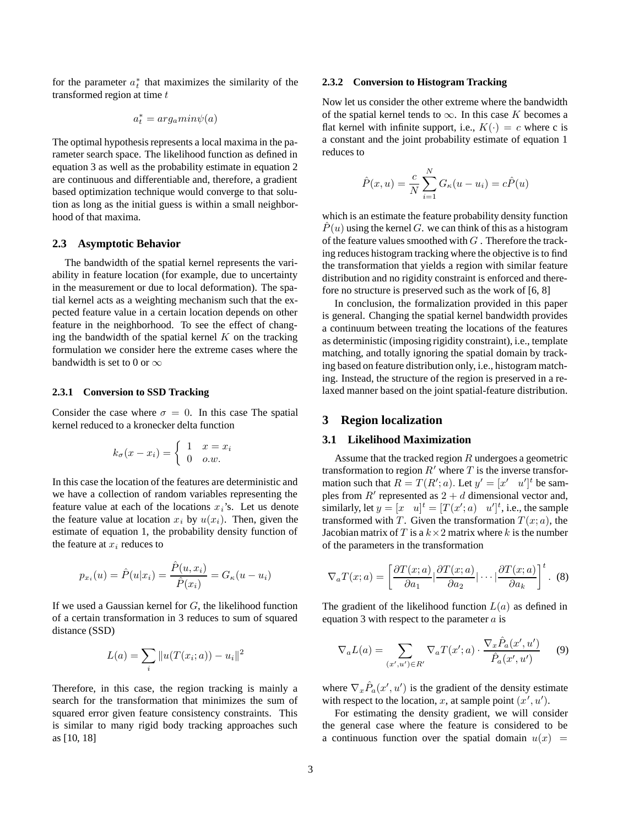for the parameter  $a_t^*$  that maximizes the similarity of the transformed region at time  $t$ 

$$
a_t^* = arg_a min\psi(a)
$$

The optimal hypothesis represents a local maxima in the parameter search space. The likelihood function as defined in equation 3 as well as the probability estimate in equation 2 are continuous and differentiable and, therefore, a gradient based optimization technique would converge to that solution as long as the initial guess is within a small neighborhood of that maxima.

### **2.3 Asymptotic Behavior**

The bandwidth of the spatial kernel represents the variability in feature location (for example, due to uncertainty in the measurement or due to local deformation). The spatial kernel acts as a weighting mechanism such that the expected feature value in a certain location depends on other feature in the neighborhood. To see the effect of changing the bandwidth of the spatial kernel  $K$  on the tracking formulation we consider here the extreme cases where the bandwidth is set to 0 or  $\infty$ 

### **2.3.1 Conversion to SSD Tracking**

Consider the case where  $\sigma = 0$ . In this case The spatial kernel reduced to a kronecker delta function

$$
k_{\sigma}(x-x_i) = \begin{cases} 1 & x = x_i \\ 0 & o.w. \end{cases}
$$

In this case the location of the features are deterministic and we have a collection of random variables representing the feature value at each of the locations  $x_i$ 's. Let us denote the feature value at location  $x_i$  by  $u(x_i)$ . Then, given the estimate of equation 1, the probability density function of the feature at  $x_i$  reduces to

$$
p_{x_i}(u) = \hat{P}(u|x_i) = \frac{\hat{P}(u, x_i)}{\hat{P}(x_i)} = G_{\kappa}(u - u_i)
$$

If we used a Gaussian kernel for  $G$ , the likelihood function of a certain transformation in 3 reduces to sum of squared distance (SSD)

$$
L(a) = \sum_{i} ||u(T(x_i; a)) - u_i||^2
$$

Therefore, in this case, the region tracking is mainly a search for the transformation that minimizes the sum of squared error given feature consistency constraints. This is similar to many rigid body tracking approaches such as [10, 18]

#### **2.3.2 Conversion to Histogram Tracking**

Now let us consider the other extreme where the bandwidth of the spatial kernel tends to  $\infty$ . In this case K becomes a flat kernel with infinite support, i.e.,  $K(\cdot) = c$  where c is a constant and the joint probability estimate of equation 1 reduces to

$$
\hat{P}(x, u) = \frac{c}{N} \sum_{i=1}^{N} G_{\kappa}(u - u_i) = c\hat{P}(u)
$$

which is an estimate the feature probability density function  $\hat{P}(u)$  using the kernel G. we can think of this as a histogram of the feature values smoothed with  $G$  . Therefore the tracking reduces histogram tracking where the objective is to find the transformation that yields a region with similar feature distribution and no rigidity constraint is enforced and therefore no structure is preserved such as the work of [6, 8]

In conclusion, the formalization provided in this paper is general. Changing the spatial kernel bandwidth provides a continuum between treating the locations of the features as deterministic (imposing rigidity constraint), i.e., template matching, and totally ignoring the spatial domain by tracking based on feature distribution only, i.e., histogram matching. Instead, the structure of the region is preserved in a relaxed manner based on the joint spatial-feature distribution.

### **3 Region localization**

#### **3.1 Likelihood Maximization**

Assume that the tracked region  $R$  undergoes a geometric transformation to region  $R'$  where  $T$  is the inverse transformation such that  $R = T(R'; a)$ . Let  $y' = [x' \ u']^t$  be sam-<br>ples from  $R'$  represented as  $2 + d$  dimensional vector and ples from R' represented as  $2 + d$  dimensional vector and,<br>similarly let  $u = [x, u]^t = [T(x', a), u']^t$  i.e., the sample similarly, let  $y = [x \ u]^t = [T(x'; a) \ u']^t$ , i.e., the sample<br>transformed with T. Given the transformation  $T(x;a)$  the transformed with T. Given the transformation  $T(x; a)$ , the<br>Iacobian matrix of T is a  $k \times 2$  matrix where k is the number Jacobian matrix of T is a  $k \times 2$  matrix where k is the number of the parameters in the transformation

$$
\nabla_a T(x; a) = \left[ \frac{\partial T(x; a)}{\partial a_1} \Big| \frac{\partial T(x; a)}{\partial a_2} \Big| \cdots \Big| \frac{\partial T(x; a)}{\partial a_k} \right]^t. (8)
$$

The gradient of the likelihood function  $L(a)$  as defined in equation 3 with respect to the parameter  $a$  is

$$
\nabla_a L(a) = \sum_{(x',u') \in R'} \nabla_a T(x';a) \cdot \frac{\nabla_x \tilde{P}_a(x',u')}{\hat{P}_a(x',u')} \tag{9}
$$

where  $\nabla_x P_a(x', u')$  is the gradient of the density estimate<br>with respect to the location x at sample point  $(x', u')$ with respect to the location, x, at sample point  $(x', u')$ .<br>For estimating the density gradient, we will cons

For estimating the density gradient, we will consider the general case where the feature is considered to be a continuous function over the spatial domain  $u(x) =$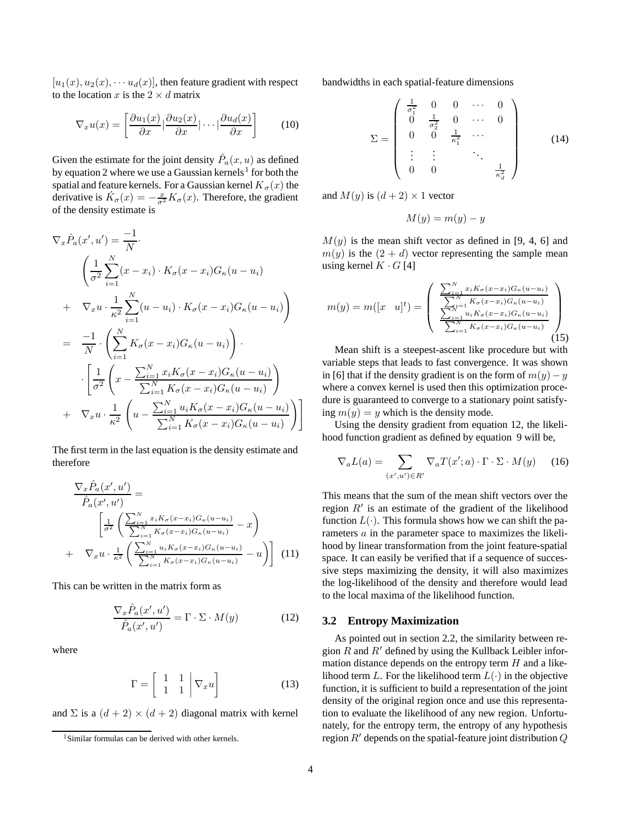$[u_1(x), u_2(x), \cdots u_d(x)]$ , then feature gradient with respect to the location x is the  $2 \times d$  matrix

$$
\nabla_x u(x) = \left[ \frac{\partial u_1(x)}{\partial x} \left| \frac{\partial u_2(x)}{\partial x} \right| \cdots \left| \frac{\partial u_d(x)}{\partial x} \right] \right] \tag{10}
$$

Given the estimate for the joint density  $\hat{P}_a(x, u)$  as defined by equation 2 where we use a Gaussian kernels<sup>1</sup> for both the spatial and feature kernels. For a Gaussian kernel  $K_{\sigma}(x)$  the derivative is  $K_{\sigma}(x) = -\frac{x}{\sigma^2} K_{\sigma}(x)$ . Therefore, the gradient of the density estimate is of the density estimate is

$$
\nabla_x \hat{P}_a(x', u') = \frac{-1}{N}.
$$
  
\n
$$
\left(\frac{1}{\sigma^2} \sum_{i=1}^N (x - x_i) \cdot K_{\sigma}(x - x_i) G_{\kappa}(u - u_i) \right.
$$
  
\n
$$
+ \nabla_x u \cdot \frac{1}{\kappa^2} \sum_{i=1}^N (u - u_i) \cdot K_{\sigma}(x - x_i) G_{\kappa}(u - u_i) \right)
$$
  
\n
$$
= \frac{-1}{N} \cdot \left( \sum_{i=1}^N K_{\sigma}(x - x_i) G_{\kappa}(u - u_i) \right).
$$
  
\n
$$
\cdot \left[ \frac{1}{\sigma^2} \left( x - \frac{\sum_{i=1}^N x_i K_{\sigma}(x - x_i) G_{\kappa}(u - u_i)}{\sum_{i=1}^N K_{\sigma}(x - x_i) G_{\kappa}(u - u_i)} \right) + \nabla_x u \cdot \frac{1}{\kappa^2} \left( u - \frac{\sum_{i=1}^N u_i K_{\sigma}(x - x_i) G_{\kappa}(u - u_i)}{\sum_{i=1}^N K_{\sigma}(x - x_i) G_{\kappa}(u - u_i)} \right) \right]
$$

The first term in the last equation is the density estimate and therefore

$$
\frac{\nabla_x P_a(x', u')}{\hat{P}_a(x', u')} = \frac{\left[\frac{1}{\sigma^2} \left( \frac{\sum_{i=1}^N x_i K_{\sigma}(x - x_i) G_{\kappa}(u - u_i)}{\sum_{i=1}^N K_{\sigma}(x - x_i) G_{\kappa}(u - u_i)} - x \right) \right]}{\left[ \frac{1}{\sigma^2} \left( \frac{\sum_{i=1}^N u_i K_{\sigma}(x - x_i) G_{\kappa}(u - u_i)}{\sum_{i=1}^N K_{\sigma}(x - x_i) G_{\kappa}(u - u_i)} - u \right) \right] (11)
$$

This can be written in the matrix form as

$$
\frac{\nabla_x \hat{P}_a(x', u')}{\hat{P}_a(x', u')} = \Gamma \cdot \Sigma \cdot M(y)
$$
\n(12)

where

$$
\Gamma = \left[ \begin{array}{cc} 1 & 1 \\ 1 & 1 \end{array} \right] \nabla_x u \tag{13}
$$

and  $\Sigma$  is a  $(d+2) \times (d+2)$  diagonal matrix with kernel

bandwidths in each spatial-feature dimensions

$$
\Sigma = \begin{pmatrix}\n\frac{1}{\sigma_1^2} & 0 & 0 & \cdots & 0 \\
0 & \frac{1}{\sigma_2^2} & 0 & \cdots & 0 \\
0 & 0 & \frac{1}{\kappa_1^2} & \cdots \\
\vdots & \vdots & & \ddots & \\
0 & 0 & & & \frac{1}{\kappa_d^2}\n\end{pmatrix}
$$
\n(14)

and  $M(y)$  is  $(d+2) \times 1$  vector

$$
M(y) = m(y) - y
$$

 $M(y)$  is the mean shift vector as defined in [9, 4, 6] and  $m(y)$  is the  $(2 + d)$  vector representing the sample mean using kernel  $K \cdot G$  [4]

$$
m(y) = m([x \quad u]^t) = \begin{pmatrix} \frac{\sum_{i=1}^{N} x_i K_{\sigma}(x-x_i) G_{\kappa}(u-u_i)}{\sum_{i=1}^{N} K_{\sigma}(x-x_i) G_{\kappa}(u-u_i)} \\ \frac{\sum_{i=1}^{N} u_i K_{\sigma}(x-x_i) G_{\kappa}(u-u_i)}{\sum_{i=1}^{N} K_{\sigma}(x-x_i) G_{\kappa}(u-u_i)} \end{pmatrix}
$$
\n(15)

Mean shift is a steepest-ascent like procedure but with variable steps that leads to fast convergence. It was shown in [6] that if the density gradient is on the form of  $m(y) - y$ where a convex kernel is used then this optimization procedure is guaranteed to converge to a stationary point satisfying  $m(y) = y$  which is the density mode.

Using the density gradient from equation 12, the likelihood function gradient as defined by equation 9 will be,

$$
\nabla_a L(a) = \sum_{(x',u') \in R'} \nabla_a T(x';a) \cdot \Gamma \cdot \Sigma \cdot M(y) \tag{16}
$$

This means that the sum of the mean shift vectors over the region  $R'$  is an estimate of the gradient of the likelihood function  $L(\cdot)$ . This formula shows how we can shift the parameters a in the parameter space to maximizes the likelihood by linear transformation from the joint feature-spatial space. It can easily be verified that if a sequence of successive steps maximizing the density, it will also maximizes the log-likelihood of the density and therefore would lead to the local maxima of the likelihood function.

### **3.2 Entropy Maximization**

As pointed out in section 2.2, the similarity between region R and  $R'$  defined by using the Kullback Leibler information distance depends on the entropy term  $H$  and a likelihood term L. For the likelihood term  $L(\cdot)$  in the objective function, it is sufficient to build a representation of the joint density of the original region once and use this representation to evaluate the likelihood of any new region. Unfortunately, for the entropy term, the entropy of any hypothesis region  $R'$  depends on the spatial-feature joint distribution  $Q$ 

<sup>&</sup>lt;sup>1</sup>Similar formulas can be derived with other kernels.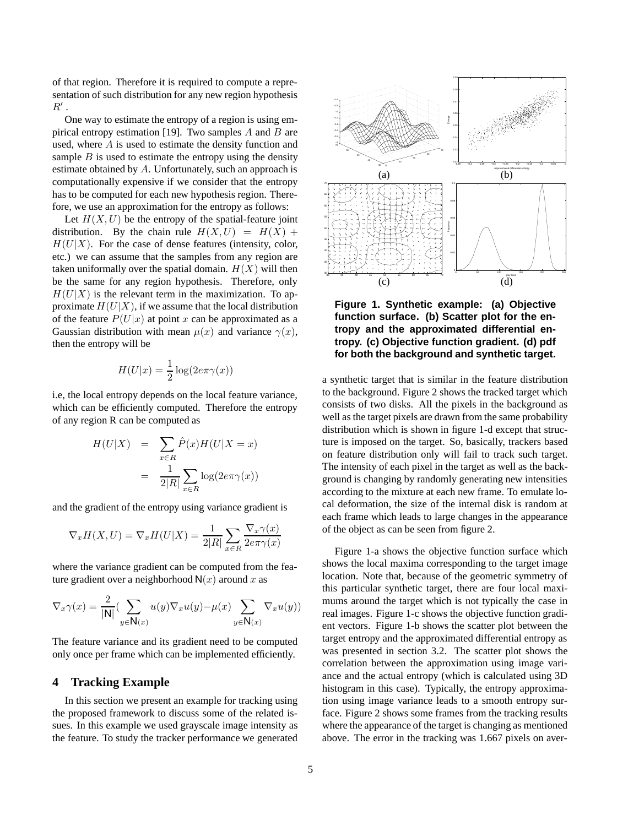of that region. Therefore it is required to compute a representation of such distribution for any new region hypothesis  $R'$ .

One way to estimate the entropy of a region is using empirical entropy estimation [19]. Two samples  $A$  and  $B$  are used, where A is used to estimate the density function and sample  $B$  is used to estimate the entropy using the density estimate obtained by A. Unfortunately, such an approach is computationally expensive if we consider that the entropy has to be computed for each new hypothesis region. Therefore, we use an approximation for the entropy as follows:

Let  $H(X, U)$  be the entropy of the spatial-feature joint distribution. By the chain rule  $H(X, U) = H(X) +$  $H(U|X)$ . For the case of dense features (intensity, color, etc.) we can assume that the samples from any region are taken uniformally over the spatial domain.  $H(X)$  will then be the same for any region hypothesis. Therefore, only  $H(U|X)$  is the relevant term in the maximization. To approximate  $H(U|X)$ , if we assume that the local distribution of the feature  $P(U|x)$  at point x can be approximated as a Gaussian distribution with mean  $\mu(x)$  and variance  $\gamma(x)$ , then the entropy will be

$$
H(U|x) = \frac{1}{2}\log(2e\pi\gamma(x))
$$

i.e, the local entropy depends on the local feature variance, which can be efficiently computed. Therefore the entropy of any region R can be computed as

$$
H(U|X) = \sum_{x \in R} \hat{P}(x)H(U|X=x)
$$

$$
= \frac{1}{2|R|} \sum_{x \in R} \log(2e\pi\gamma(x))
$$

and the gradient of the entropy using variance gradient is

$$
\nabla_x H(X, U) = \nabla_x H(U|X) = \frac{1}{2|R|} \sum_{x \in R} \frac{\nabla_x \gamma(x)}{2e\pi \gamma(x)}
$$

where the variance gradient can be computed from the feature gradient over a neighborhood  $N(x)$  around x as

$$
\nabla_x \gamma(x) = \frac{2}{|\mathbf{N}|} \left( \sum_{y \in \mathbf{N}(x)} u(y) \nabla_x u(y) - \mu(x) \sum_{y \in \mathbf{N}(x)} \nabla_x u(y) \right)
$$

The feature variance and its gradient need to be computed only once per frame which can be implemented efficiently.

### **4 Tracking Example**

In this section we present an example for tracking using the proposed framework to discuss some of the related issues. In this example we used grayscale image intensity as the feature. To study the tracker performance we generated



**Figure 1. Synthetic example: (a) Objective function surface. (b) Scatter plot for the entropy and the approximated differential entropy. (c) Objective function gradient. (d) pdf for both the background and synthetic target.**

a synthetic target that is similar in the feature distribution to the background. Figure 2 shows the tracked target which consists of two disks. All the pixels in the background as well as the target pixels are drawn from the same probability distribution which is shown in figure 1-d except that structure is imposed on the target. So, basically, trackers based on feature distribution only will fail to track such target. The intensity of each pixel in the target as well as the background is changing by randomly generating new intensities according to the mixture at each new frame. To emulate local deformation, the size of the internal disk is random at each frame which leads to large changes in the appearance of the object as can be seen from figure 2.

Figure 1-a shows the objective function surface which shows the local maxima corresponding to the target image location. Note that, because of the geometric symmetry of this particular synthetic target, there are four local maximums around the target which is not typically the case in real images. Figure 1-c shows the objective function gradient vectors. Figure 1-b shows the scatter plot between the target entropy and the approximated differential entropy as was presented in section 3.2. The scatter plot shows the correlation between the approximation using image variance and the actual entropy (which is calculated using 3D histogram in this case). Typically, the entropy approximation using image variance leads to a smooth entropy surface. Figure 2 shows some frames from the tracking results where the appearance of the target is changing as mentioned above. The error in the tracking was 1.667 pixels on aver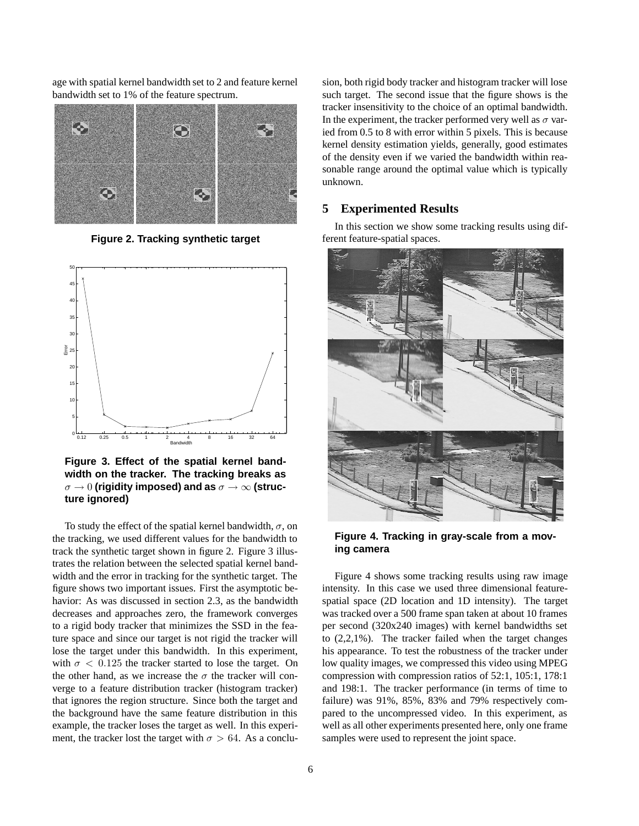age with spatial kernel bandwidth set to 2 and feature kernel bandwidth set to 1% of the feature spectrum.



**Figure 2. Tracking synthetic target**



**Figure 3. Effect of the spatial kernel bandwidth on the tracker. The tracking breaks as**  $\sigma \to 0$  (rigidity imposed) and as  $\sigma \to \infty$  (struc**ture ignored)**

To study the effect of the spatial kernel bandwidth,  $\sigma$ , on the tracking, we used different values for the bandwidth to track the synthetic target shown in figure 2. Figure 3 illustrates the relation between the selected spatial kernel bandwidth and the error in tracking for the synthetic target. The figure shows two important issues. First the asymptotic behavior: As was discussed in section 2.3, as the bandwidth decreases and approaches zero, the framework converges to a rigid body tracker that minimizes the SSD in the feature space and since our target is not rigid the tracker will lose the target under this bandwidth. In this experiment, with  $\sigma$  < 0.125 the tracker started to lose the target. On the other hand, as we increase the  $\sigma$  the tracker will converge to a feature distribution tracker (histogram tracker) that ignores the region structure. Since both the target and the background have the same feature distribution in this example, the tracker loses the target as well. In this experiment, the tracker lost the target with  $\sigma > 64$ . As a conclu-

6

sion, both rigid body tracker and histogram tracker will lose such target. The second issue that the figure shows is the tracker insensitivity to the choice of an optimal bandwidth. In the experiment, the tracker performed very well as  $\sigma$  varied from 0.5 to 8 with error within 5 pixels. This is because kernel density estimation yields, generally, good estimates of the density even if we varied the bandwidth within reasonable range around the optimal value which is typically unknown.

### **5 Experimented Results**

In this section we show some tracking results using different feature-spatial spaces.



**Figure 4. Tracking in gray-scale from a moving camera**

Figure 4 shows some tracking results using raw image intensity. In this case we used three dimensional featurespatial space (2D location and 1D intensity). The target was tracked over a 500 frame span taken at about 10 frames per second (320x240 images) with kernel bandwidths set to (2,2,1%). The tracker failed when the target changes his appearance. To test the robustness of the tracker under low quality images, we compressed this video using MPEG compression with compression ratios of 52:1, 105:1, 178:1 and 198:1. The tracker performance (in terms of time to failure) was 91%, 85%, 83% and 79% respectively compared to the uncompressed video. In this experiment, as well as all other experiments presented here, only one frame samples were used to represent the joint space.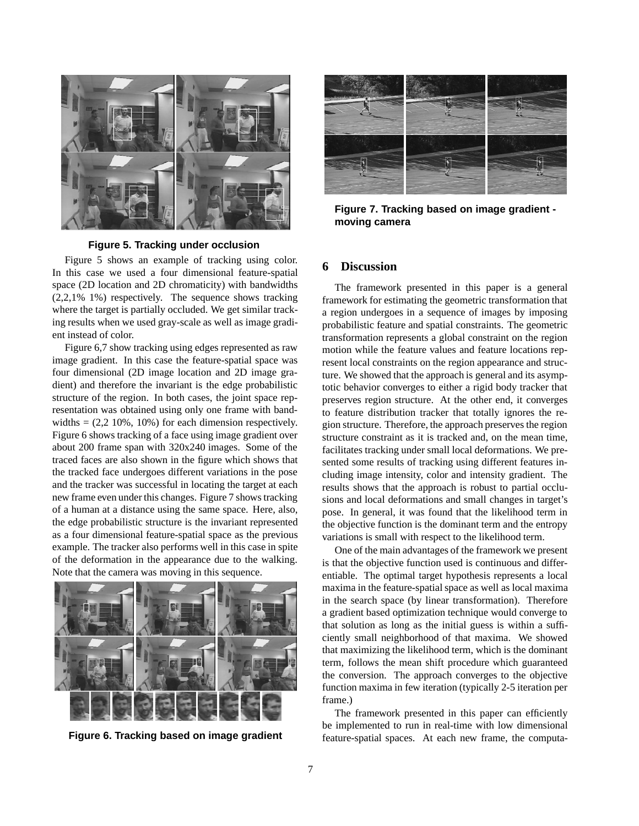

**Figure 5. Tracking under occlusion**

Figure 5 shows an example of tracking using color. In this case we used a four dimensional feature-spatial space (2D location and 2D chromaticity) with bandwidths (2,2,1% 1%) respectively. The sequence shows tracking where the target is partially occluded. We get similar tracking results when we used gray-scale as well as image gradient instead of color.

Figure 6,7 show tracking using edges represented as raw image gradient. In this case the feature-spatial space was four dimensional (2D image location and 2D image gradient) and therefore the invariant is the edge probabilistic structure of the region. In both cases, the joint space representation was obtained using only one frame with bandwidths  $= (2,2,10\%)$  for each dimension respectively. Figure 6 shows tracking of a face using image gradient over about 200 frame span with 320x240 images. Some of the traced faces are also shown in the figure which shows that the tracked face undergoes different variations in the pose and the tracker was successful in locating the target at each new frame even under this changes. Figure 7 shows tracking of a human at a distance using the same space. Here, also, the edge probabilistic structure is the invariant represented as a four dimensional feature-spatial space as the previous example. The tracker also performs well in this case in spite of the deformation in the appearance due to the walking. Note that the camera was moving in this sequence.



**Figure 6. Tracking based on image gradient**



**Figure 7. Tracking based on image gradient moving camera**

## **6 Discussion**

The framework presented in this paper is a general framework for estimating the geometric transformation that a region undergoes in a sequence of images by imposing probabilistic feature and spatial constraints. The geometric transformation represents a global constraint on the region motion while the feature values and feature locations represent local constraints on the region appearance and structure. We showed that the approach is general and its asymptotic behavior converges to either a rigid body tracker that preserves region structure. At the other end, it converges to feature distribution tracker that totally ignores the region structure. Therefore, the approach preserves the region structure constraint as it is tracked and, on the mean time, facilitates tracking under small local deformations. We presented some results of tracking using different features including image intensity, color and intensity gradient. The results shows that the approach is robust to partial occlusions and local deformations and small changes in target's pose. In general, it was found that the likelihood term in the objective function is the dominant term and the entropy variations is small with respect to the likelihood term.

One of the main advantages of the framework we present is that the objective function used is continuous and differentiable. The optimal target hypothesis represents a local maxima in the feature-spatial space as well as local maxima in the search space (by linear transformation). Therefore a gradient based optimization technique would converge to that solution as long as the initial guess is within a sufficiently small neighborhood of that maxima. We showed that maximizing the likelihood term, which is the dominant term, follows the mean shift procedure which guaranteed the conversion. The approach converges to the objective function maxima in few iteration (typically 2-5 iteration per frame.)

The framework presented in this paper can efficiently be implemented to run in real-time with low dimensional feature-spatial spaces. At each new frame, the computa-